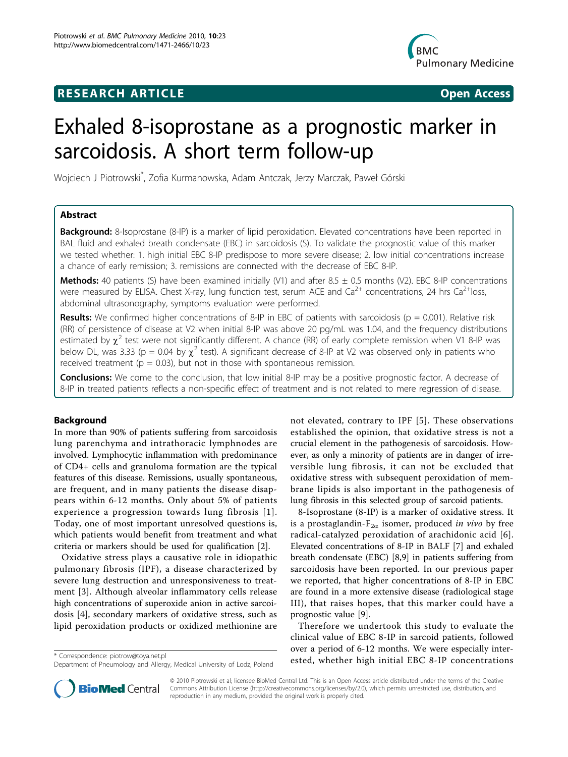## **RESEARCH ARTICLE Example 2018 CONSIDERING ACCESS**



# Exhaled 8-isoprostane as a prognostic marker in sarcoidosis. A short term follow-up

Wojciech J Piotrowski\* , Zofia Kurmanowska, Adam Antczak, Jerzy Marczak, Paweł Górski

## Abstract

**Background:** 8-Isoprostane (8-IP) is a marker of lipid peroxidation. Elevated concentrations have been reported in BAL fluid and exhaled breath condensate (EBC) in sarcoidosis (S). To validate the prognostic value of this marker we tested whether: 1. high initial EBC 8-IP predispose to more severe disease; 2. low initial concentrations increase a chance of early remission; 3. remissions are connected with the decrease of EBC 8-IP.

Methods: 40 patients (S) have been examined initially (V1) and after  $8.5 \pm 0.5$  months (V2). EBC 8-IP concentrations were measured by ELISA. Chest X-ray, lung function test, serum ACE and  $Ca^{2+}$  concentrations, 24 hrs  $Ca^{2+}$ loss, abdominal ultrasonography, symptoms evaluation were performed.

**Results:** We confirmed higher concentrations of 8-IP in EBC of patients with sarcoidosis ( $p = 0.001$ ). Relative risk (RR) of persistence of disease at V2 when initial 8-IP was above 20 pg/mL was 1.04, and the frequency distributions estimated by  $\chi^2$  test were not significantly different. A chance (RR) of early complete remission when V1 8-IP was below DL, was 3.33 (p = 0.04 by  $\chi^2$  test). A significant decrease of 8-IP at V2 was observed only in patients who received treatment ( $p = 0.03$ ), but not in those with spontaneous remission.

**Conclusions:** We come to the conclusion, that low initial 8-IP may be a positive prognostic factor. A decrease of 8-IP in treated patients reflects a non-specific effect of treatment and is not related to mere regression of disease.

#### Background

In more than 90% of patients suffering from sarcoidosis lung parenchyma and intrathoracic lymphnodes are involved. Lymphocytic inflammation with predominance of CD4+ cells and granuloma formation are the typical features of this disease. Remissions, usually spontaneous, are frequent, and in many patients the disease disappears within 6-12 months. Only about 5% of patients experience a progression towards lung fibrosis [[1\]](#page-6-0). Today, one of most important unresolved questions is, which patients would benefit from treatment and what criteria or markers should be used for qualification [\[2](#page-6-0)].

Oxidative stress plays a causative role in idiopathic pulmonary fibrosis (IPF), a disease characterized by severe lung destruction and unresponsiveness to treatment [\[3](#page-6-0)]. Although alveolar inflammatory cells release high concentrations of superoxide anion in active sarcoidosis [[4](#page-6-0)], secondary markers of oxidative stress, such as lipid peroxidation products or oxidized methionine are

not elevated, contrary to IPF [[5\]](#page-6-0). These observations established the opinion, that oxidative stress is not a crucial element in the pathogenesis of sarcoidosis. However, as only a minority of patients are in danger of irreversible lung fibrosis, it can not be excluded that oxidative stress with subsequent peroxidation of membrane lipids is also important in the pathogenesis of lung fibrosis in this selected group of sarcoid patients.

8-Isoprostane (8-IP) is a marker of oxidative stress. It is a prostaglandin- $F_{2\alpha}$  isomer, produced in vivo by free radical-catalyzed peroxidation of arachidonic acid [[6](#page-6-0)]. Elevated concentrations of 8-IP in BALF [\[7\]](#page-6-0) and exhaled breath condensate (EBC) [\[8,9](#page-6-0)] in patients suffering from sarcoidosis have been reported. In our previous paper we reported, that higher concentrations of 8-IP in EBC are found in a more extensive disease (radiological stage III), that raises hopes, that this marker could have a prognostic value [\[9](#page-6-0)].

Therefore we undertook this study to evaluate the clinical value of EBC 8-IP in sarcoid patients, followed over a period of 6-12 months. We were especially inter\* Correspondence: [piotrow@toya.net.pl](mailto:piotrow@toya.net.pl)<br>Dopartment of Poeumology and Alloray Modical University of Lock Poland ested, whether high initial EBC 8-IP concentrations



© 2010 Piotrowski et al; licensee BioMed Central Ltd. This is an Open Access article distributed under the terms of the Creative Commons Attribution License [\(http://creativecommons.org/licenses/by/2.0](http://creativecommons.org/licenses/by/2.0)), which permits unrestricted use, distribution, and reproduction in any medium, provided the original work is properly cited.

Department of Pneumology and Allergy, Medical University of Lodz, Poland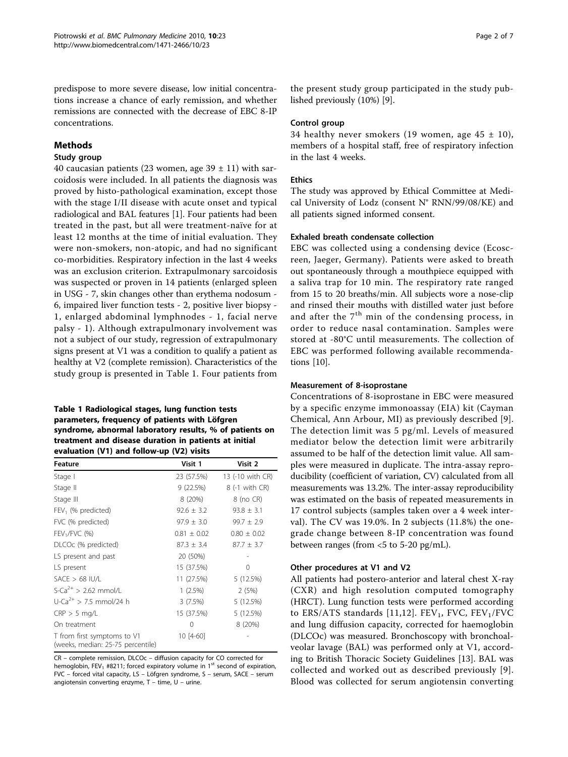predispose to more severe disease, low initial concentrations increase a chance of early remission, and whether remissions are connected with the decrease of EBC 8-IP concentrations.

#### Methods

#### Study group

40 caucasian patients (23 women, age  $39 \pm 11$ ) with sarcoidosis were included. In all patients the diagnosis was proved by histo-pathological examination, except those with the stage I/II disease with acute onset and typical radiological and BAL features [[1\]](#page-6-0). Four patients had been treated in the past, but all were treatment-naïve for at least 12 months at the time of initial evaluation. They were non-smokers, non-atopic, and had no significant co-morbidities. Respiratory infection in the last 4 weeks was an exclusion criterion. Extrapulmonary sarcoidosis was suspected or proven in 14 patients (enlarged spleen in USG - 7, skin changes other than erythema nodosum - 6, impaired liver function tests - 2, positive liver biopsy - 1, enlarged abdominal lymphnodes - 1, facial nerve palsy - 1). Although extrapulmonary involvement was not a subject of our study, regression of extrapulmonary signs present at V1 was a condition to qualify a patient as healthy at V2 (complete remission). Characteristics of the study group is presented in Table 1. Four patients from

## Table 1 Radiological stages, lung function tests parameters, frequency of patients with Löfgren syndrome, abnormal laboratory results, % of patients on treatment and disease duration in patients at initial evaluation (V1) and follow-up (V2) visits

| Feature                                                          | Visit 1         | Visit 2          |
|------------------------------------------------------------------|-----------------|------------------|
| Stage I                                                          | 23 (57.5%)      | 13 (-10 with CR) |
| Stage II                                                         | 9 (22.5%)       | 8 (-1 with CR)   |
| Stage III                                                        | 8 (20%)         | 8 (no CR)        |
| $FEV1$ (% predicted)                                             | $92.6 \pm 3.2$  | $93.8 \pm 3.1$   |
| FVC (% predicted)                                                | $97.9 \pm 3.0$  | $99.7 \pm 2.9$   |
| $FEV1/FVC$ (%)                                                   | $0.81 \pm 0.02$ | $0.80 \pm 0.02$  |
| DLCOc (% predicted)                                              | $87.3 \pm 3.4$  | $87.7 \pm 3.7$   |
| LS present and past                                              | 20 (50%)        |                  |
| LS present                                                       | 15 (37.5%)      | 0                |
| $SACE > 68$ IU/L                                                 | 11 (27.5%)      | 5 (12.5%)        |
| $S-Ca^{2+} > 2.62$ mmol/L                                        | $1(2.5\%)$      | 2(5%)            |
| U-Ca <sup>2+</sup> > 7.5 mmol/24 h                               | 3(7.5%)         | 5(12.5%)         |
| $CRP > 5$ mg/L                                                   | 15 (37.5%)      | 5 (12.5%)        |
| On treatment                                                     | 0               | 8 (20%)          |
| T from first symptoms to V1<br>(weeks, median: 25-75 percentile) | $10[4-60]$      |                  |

CR – complete remission, DLCOc – diffusion capacity for CO corrected for hemoglobin, FEV<sub>1</sub> #8211; forced expiratory volume in 1<sup>st</sup> second of expiration, FVC – forced vital capacity, LS – Löfgren syndrome, S – serum, SACE – serum angiotensin converting enzyme, T – time, U – urine.

the present study group participated in the study published previously (10%) [[9\]](#page-6-0).

#### Control group

34 healthy never smokers (19 women, age  $45 \pm 10$ ), members of a hospital staff, free of respiratory infection in the last 4 weeks.

## Ethics

The study was approved by Ethical Committee at Medical University of Lodz (consent N° RNN/99/08/KE) and all patients signed informed consent.

#### Exhaled breath condensate collection

EBC was collected using a condensing device (Ecoscreen, Jaeger, Germany). Patients were asked to breath out spontaneously through a mouthpiece equipped with a saliva trap for 10 min. The respiratory rate ranged from 15 to 20 breaths/min. All subjects wore a nose-clip and rinsed their mouths with distilled water just before and after the  $7<sup>th</sup>$  min of the condensing process, in order to reduce nasal contamination. Samples were stored at -80°C until measurements. The collection of EBC was performed following available recommendations [\[10\]](#page-6-0).

#### Measurement of 8-isoprostane

Concentrations of 8-isoprostane in EBC were measured by a specific enzyme immonoassay (EIA) kit (Cayman Chemical, Ann Arbour, MI) as previously described [[9](#page-6-0)]. The detection limit was 5 pg/ml. Levels of measured mediator below the detection limit were arbitrarily assumed to be half of the detection limit value. All samples were measured in duplicate. The intra-assay reproducibility (coefficient of variation, CV) calculated from all measurements was 13.2%. The inter-assay reproducibility was estimated on the basis of repeated measurements in 17 control subjects (samples taken over a 4 week interval). The CV was 19.0%. In 2 subjects (11.8%) the onegrade change between 8-IP concentration was found between ranges (from <5 to 5-20 pg/mL).

#### Other procedures at V1 and V2

All patients had postero-anterior and lateral chest X-ray (CXR) and high resolution computed tomography (HRCT). Lung function tests were performed according to ERS/ATS standards [[11,12\]](#page-6-0). FEV<sub>1</sub>, FVC, FEV<sub>1</sub>/FVC and lung diffusion capacity, corrected for haemoglobin (DLCOc) was measured. Bronchoscopy with bronchoalveolar lavage (BAL) was performed only at V1, according to British Thoracic Society Guidelines [[13\]](#page-6-0). BAL was collected and worked out as described previously [[9\]](#page-6-0). Blood was collected for serum angiotensin converting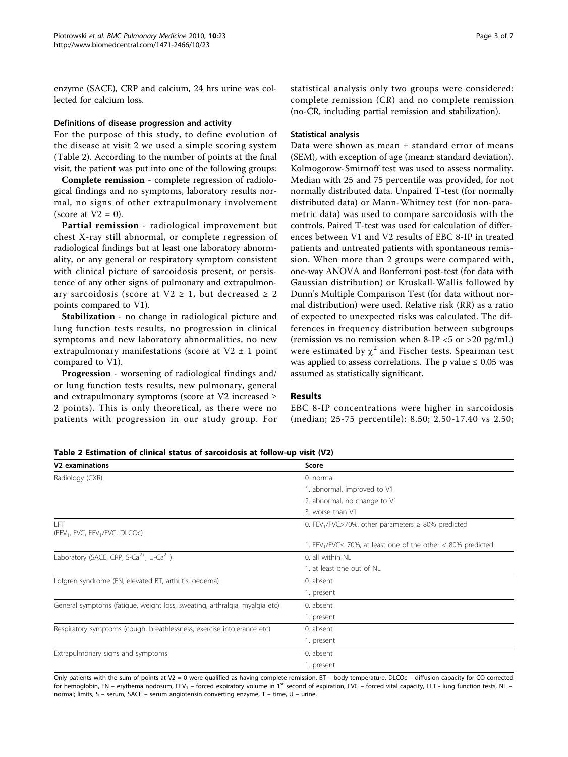enzyme (SACE), CRP and calcium, 24 hrs urine was collected for calcium loss.

#### Definitions of disease progression and activity

For the purpose of this study, to define evolution of the disease at visit 2 we used a simple scoring system (Table 2). According to the number of points at the final visit, the patient was put into one of the following groups:

Complete remission - complete regression of radiological findings and no symptoms, laboratory results normal, no signs of other extrapulmonary involvement (score at  $V2 = 0$ ).

Partial remission - radiological improvement but chest X-ray still abnormal, or complete regression of radiological findings but at least one laboratory abnormality, or any general or respiratory symptom consistent with clinical picture of sarcoidosis present, or persistence of any other signs of pulmonary and extrapulmonary sarcoidosis (score at  $V2 \geq 1$ , but decreased  $\geq 2$ points compared to V1).

Stabilization - no change in radiological picture and lung function tests results, no progression in clinical symptoms and new laboratory abnormalities, no new extrapulmonary manifestations (score at  $V2 \pm 1$  point compared to V1).

Progression - worsening of radiological findings and/ or lung function tests results, new pulmonary, general and extrapulmonary symptoms (score at V2 increased ≥ 2 points). This is only theoretical, as there were no patients with progression in our study group. For (no-CR, including partial remission and stabilization).

#### Statistical analysis

Data were shown as mean ± standard error of means (SEM), with exception of age (mean± standard deviation). Kolmogorow-Smirnoff test was used to assess normality. Median with 25 and 75 percentile was provided, for not normally distributed data. Unpaired T-test (for normally distributed data) or Mann-Whitney test (for non-parametric data) was used to compare sarcoidosis with the controls. Paired T-test was used for calculation of differences between V1 and V2 results of EBC 8-IP in treated patients and untreated patients with spontaneous remission. When more than 2 groups were compared with, one-way ANOVA and Bonferroni post-test (for data with Gaussian distribution) or Kruskall-Wallis followed by Dunn's Multiple Comparison Test (for data without normal distribution) were used. Relative risk (RR) as a ratio of expected to unexpected risks was calculated. The differences in frequency distribution between subgroups (remission vs no remission when 8-IP  $\langle$  5 or  $>$  20 pg/mL) were estimated by  $\chi^2$  and Fischer tests. Spearman test was applied to assess correlations. The p value  $\leq 0.05$  was assumed as statistically significant.

## Results

EBC 8-IP concentrations were higher in sarcoidosis (median; 25-75 percentile): 8.50; 2.50-17.40 vs 2.50;

Table 2 Estimation of clinical status of sarcoidosis at follow-up visit (V2)

| V2 examinations                                                            | Score                                                                            |  |  |
|----------------------------------------------------------------------------|----------------------------------------------------------------------------------|--|--|
| Radiology (CXR)                                                            | 0. normal                                                                        |  |  |
|                                                                            | 1. abnormal, improved to V1                                                      |  |  |
|                                                                            | 2. abnormal, no change to V1                                                     |  |  |
|                                                                            | 3. worse than V1                                                                 |  |  |
| LFT<br>(FEV <sub>1</sub> , FVC, FEV <sub>1</sub> /FVC, DLCOc)              | 0. FEV <sub>1</sub> /FVC>70%, other parameters $\geq$ 80% predicted              |  |  |
|                                                                            | 1. FEV <sub>1</sub> /FVC $\leq$ 70%, at least one of the other $<$ 80% predicted |  |  |
| Laboratory (SACE, CRP, S-Ca <sup>2+</sup> , U-Ca <sup>2+</sup> )           | 0. all within NL                                                                 |  |  |
|                                                                            | 1. at least one out of NL                                                        |  |  |
| Lofgren syndrome (EN, elevated BT, arthritis, oedema)                      | 0. absent                                                                        |  |  |
|                                                                            | 1. present                                                                       |  |  |
| General symptoms (fatique, weight loss, sweating, arthralgia, myalgia etc) | 0. absent                                                                        |  |  |
|                                                                            | 1. present                                                                       |  |  |
| Respiratory symptoms (cough, breathlessness, exercise intolerance etc)     | 0. absent                                                                        |  |  |
|                                                                            | 1. present                                                                       |  |  |
| Extrapulmonary signs and symptoms                                          | 0. absent                                                                        |  |  |
|                                                                            | 1. present                                                                       |  |  |

Only patients with the sum of points at V2 = 0 were qualified as having complete remission. BT – body temperature, DLCOc – diffusion capacity for CO corrected for hemoglobin, EN – erythema nodosum, FEV<sub>1</sub> – forced expiratory volume in 1<sup>st</sup> second of expiration, FVC – forced vital capacity, LFT - lung function tests, NL normal; limits, S – serum, SACE – serum angiotensin converting enzyme, T – time, U – urine.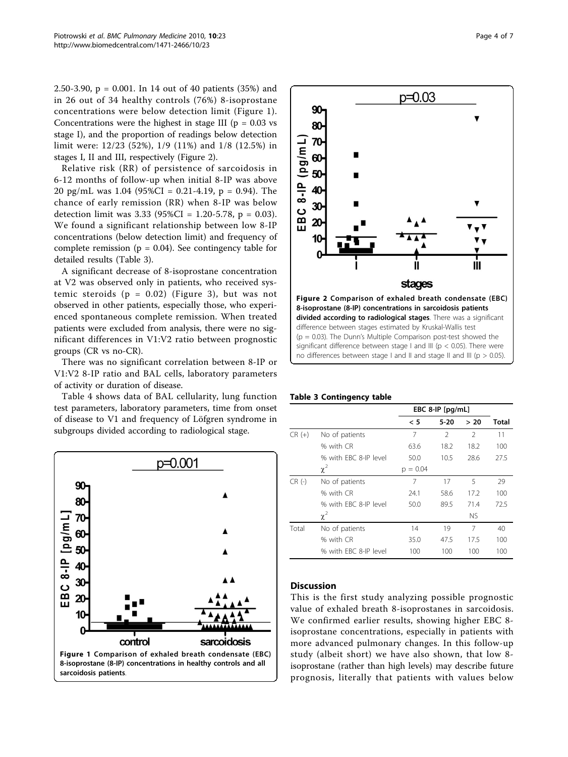2.50-3.90, p = 0.001. In 14 out of 40 patients (35%) and in 26 out of 34 healthy controls (76%) 8-isoprostane concentrations were below detection limit (Figure 1). Concentrations were the highest in stage III ( $p = 0.03$  vs stage I), and the proportion of readings below detection limit were: 12/23 (52%), 1/9 (11%) and 1/8 (12.5%) in stages I, II and III, respectively (Figure 2).

Relative risk (RR) of persistence of sarcoidosis in 6-12 months of follow-up when initial 8-IP was above 20 pg/mL was 1.04 (95%CI = 0.21-4.19, p = 0.94). The chance of early remission (RR) when 8-IP was below detection limit was  $3.33$  (95%CI = 1.20-5.78, p = 0.03). We found a significant relationship between low 8-IP concentrations (below detection limit) and frequency of complete remission ( $p = 0.04$ ). See contingency table for detailed results (Table 3).

A significant decrease of 8-isoprostane concentration at V2 was observed only in patients, who received systemic steroids  $(p = 0.02)$  (Figure [3\)](#page-4-0), but was not observed in other patients, especially those, who experienced spontaneous complete remission. When treated patients were excluded from analysis, there were no significant differences in V1:V2 ratio between prognostic groups (CR vs no-CR).

There was no significant correlation between 8-IP or V1:V2 8-IP ratio and BAL cells, laboratory parameters of activity or duration of disease.

Table [4](#page-4-0) shows data of BAL cellularity, lung function test parameters, laboratory parameters, time from onset of disease to V1 and frequency of Löfgren syndrome in subgroups divided according to radiological stage.





difference between stages estimated by Kruskal-Wallis test  $(p = 0.03)$ . The Dunn's Multiple Comparison post-test showed the significant difference between stage I and III ( $p < 0.05$ ). There were no differences between stage I and II and stage II and III ( $p > 0.05$ ).

#### Table 3 Contingency table

|          |                       |            | EBC 8-IP $[pq/mL]$ |                |       |
|----------|-----------------------|------------|--------------------|----------------|-------|
|          |                       | < 5        | $5-20$             | > 20           | Total |
| $CR (+)$ | No of patients        | 7          | $\mathfrak{D}$     | $\mathfrak{D}$ | 11    |
|          | % with CR             | 63.6       | 18.2               | 18.2           | 100   |
|          | % with FBC 8-IP level | 50.0       | 10.5               | 28.6           | 27.5  |
|          | $\chi^2$              | $p = 0.04$ |                    |                |       |
| $CR(-)$  | No of patients        | 7          | 17                 | 5              | 29    |
|          | % with CR             | 24.1       | 58.6               | 17.2           | 100   |
|          | % with FBC 8-IP level | 50.0       | 89.5               | 71.4           | 72.5  |
|          | $\chi^2$              |            |                    | <b>NS</b>      |       |
| Total    | No of patients        | 14         | 19                 | 7              | 40    |
|          | % with CR             | 35.0       | 47.5               | 17.5           | 100   |
|          | % with FBC 8-IP level | 100        | 100                | 100            | 100   |

#### **Discussion**

This is the first study analyzing possible prognostic value of exhaled breath 8-isoprostanes in sarcoidosis. We confirmed earlier results, showing higher EBC 8 isoprostane concentrations, especially in patients with more advanced pulmonary changes. In this follow-up study (albeit short) we have also shown, that low 8 isoprostane (rather than high levels) may describe future prognosis, literally that patients with values below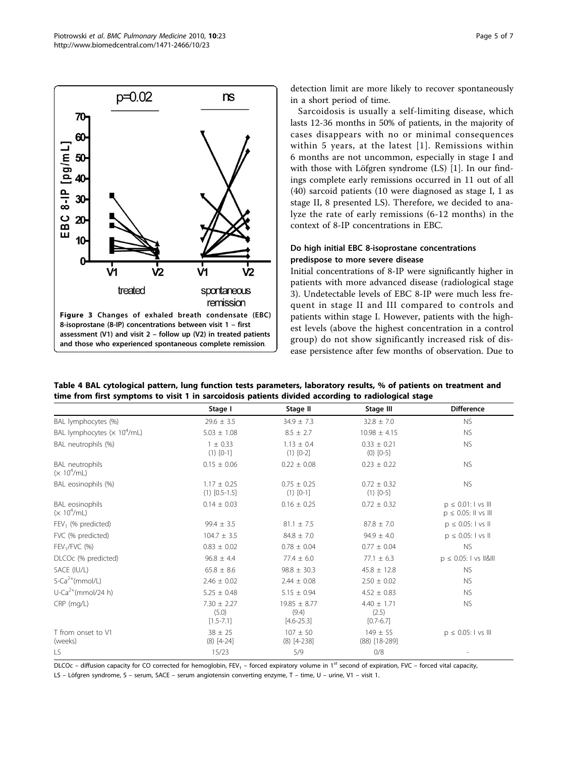<span id="page-4-0"></span>

detection limit are more likely to recover spontaneously in a short period of time.

Sarcoidosis is usually a self-limiting disease, which lasts 12-36 months in 50% of patients, in the majority of cases disappears with no or minimal consequences within 5 years, at the latest [[1\]](#page-6-0). Remissions within 6 months are not uncommon, especially in stage I and with those with Löfgren syndrome (LS) [\[1](#page-6-0)]. In our findings complete early remissions occurred in 11 out of all (40) sarcoid patients (10 were diagnosed as stage I, 1 as stage II, 8 presented LS). Therefore, we decided to analyze the rate of early remissions (6-12 months) in the context of 8-IP concentrations in EBC.

## Do high initial EBC 8-isoprostane concentrations predispose to more severe disease

Initial concentrations of 8-IP were significantly higher in patients with more advanced disease (radiological stage 3). Undetectable levels of EBC 8-IP were much less frequent in stage II and III compared to controls and patients within stage I. However, patients with the highest levels (above the highest concentration in a control group) do not show significantly increased risk of disease persistence after few months of observation. Due to

| Table 4 BAL cytological pattern, lung function tests parameters, laboratory results, % of patients on treatment and |  |
|---------------------------------------------------------------------------------------------------------------------|--|
| time from first symptoms to visit 1 in sarcoidosis patients divided according to radiological stage                 |  |

|                                          | Stage I                                   | Stage II                                    | Stage III                                 | <b>Difference</b>                                    |
|------------------------------------------|-------------------------------------------|---------------------------------------------|-------------------------------------------|------------------------------------------------------|
|                                          |                                           |                                             |                                           |                                                      |
| BAL lymphocytes (%)                      | $29.6 \pm 3.5$                            | $34.9 \pm 7.3$                              | $32.8 \pm 7.0$                            | <b>NS</b>                                            |
| BAL lymphocytes $(x 104/mL)$             | $5.03 \pm 1.08$                           | $8.5 \pm 2.7$                               | $10.98 \pm 4.15$                          | <b>NS</b>                                            |
| BAL neutrophils (%)                      | $1 \pm 0.33$<br>$(1) [0-1]$               | $1.13 \pm 0.4$<br>$(1)$ $[0-2]$             | $0.33 \pm 0.21$<br>$(0)$ $[0-5]$          | <b>NS</b>                                            |
| <b>BAL</b> neutrophils<br>$(x 10^4$ /mL) | $0.15 \pm 0.06$                           | $0.22 \pm 0.08$                             | $0.23 \pm 0.22$                           | <b>NS</b>                                            |
| BAL eosinophils (%)                      | $1.17 \pm 0.25$<br>$(1)$ $[0.5-1.5]$      | $0.75 \pm 0.25$<br>$(1) [0-1]$              | $0.72 \pm 0.32$<br>$(1)$ $[0-5]$          | <b>NS</b>                                            |
| <b>BAL</b> eosinophils<br>$(x 10^4$ /mL) | $0.14 \pm 0.03$                           | $0.16 \pm 0.25$                             | $0.72 \pm 0.32$                           | $p \leq 0.01$ : I vs III<br>$p \le 0.05$ : Il vs III |
| $FEV1$ (% predicted)                     | $99.4 \pm 3.5$                            | $81.1 \pm 7.5$                              | $87.8 \pm 7.0$                            | $p \le 0.05$ : I vs II                               |
| FVC (% predicted)                        | $104.7 \pm 3.5$                           | $84.8 \pm 7.0$                              | $94.9 \pm 4.0$                            | $p \le 0.05$ : I vs II                               |
| $FEV1/FVC$ (%)                           | $0.83 \pm 0.02$                           | $0.78 \pm 0.04$                             | $0.77 \pm 0.04$                           | <b>NS</b>                                            |
| DLCOc (% predicted)                      | $96.8 \pm 4.4$                            | $77.4 \pm 6.0$                              | $77.1 \pm 6.3$                            | $p \le 0.05$ :   vs   &                              |
| SACE (IU/L)                              | $65.8 \pm 8.6$                            | $98.8 \pm 30.3$                             | $45.8 \pm 12.8$                           | <b>NS</b>                                            |
| $S-Ca^{2+}(mmol/L)$                      | $2.46 \pm 0.02$                           | $2.44 \pm 0.08$                             | $2.50 \pm 0.02$                           | <b>NS</b>                                            |
| $U$ -Ca <sup>2+</sup> (mmol/24 h)        | $5.25 \pm 0.48$                           | $5.15 \pm 0.94$                             | $4.52 \pm 0.83$                           | <b>NS</b>                                            |
| $CRP$ (mg/L)                             | $7.30 \pm 2.27$<br>(5.0)<br>$[1.5 - 7.1]$ | $19.85 \pm 8.77$<br>(9.4)<br>$[4.6 - 25.3]$ | $4.40 \pm 1.71$<br>(2.5)<br>$[0.7 - 6.7]$ | <b>NS</b>                                            |
| T from onset to V1<br>(weeks)            | $38 \pm 25$<br>$(8)$ [4-24]               | $107 \pm 50$<br>$(8)$ [4-238]               | $149 \pm 55$<br>$(88)$ [18-289]           | $p \le 0.05$ :   vs                                  |
| <b>LS</b>                                | 15/23                                     | 5/9                                         | 0/8                                       |                                                      |

DLCOc - diffusion capacity for CO corrected for hemoglobin, FEV<sub>1</sub> - forced expiratory volume in 1<sup>st</sup> second of expiration, FVC - forced vital capacity, LS – Löfgren syndrome, S – serum, SACE – serum angiotensin converting enzyme, T – time, U – urine, V1 – visit 1.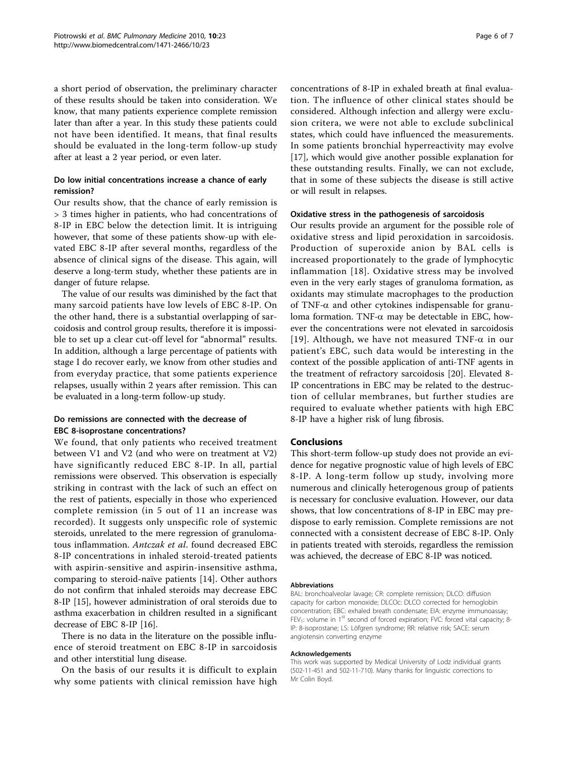a short period of observation, the preliminary character of these results should be taken into consideration. We know, that many patients experience complete remission later than after a year. In this study these patients could not have been identified. It means, that final results should be evaluated in the long-term follow-up study after at least a 2 year period, or even later.

## Do low initial concentrations increase a chance of early remission?

Our results show, that the chance of early remission is > 3 times higher in patients, who had concentrations of 8-IP in EBC below the detection limit. It is intriguing however, that some of these patients show-up with elevated EBC 8-IP after several months, regardless of the absence of clinical signs of the disease. This again, will deserve a long-term study, whether these patients are in danger of future relapse.

The value of our results was diminished by the fact that many sarcoid patients have low levels of EBC 8-IP. On the other hand, there is a substantial overlapping of sarcoidosis and control group results, therefore it is impossible to set up a clear cut-off level for "abnormal" results. In addition, although a large percentage of patients with stage I do recover early, we know from other studies and from everyday practice, that some patients experience relapses, usually within 2 years after remission. This can be evaluated in a long-term follow-up study.

## Do remissions are connected with the decrease of EBC 8-isoprostane concentrations?

We found, that only patients who received treatment between V1 and V2 (and who were on treatment at V2) have significantly reduced EBC 8-IP. In all, partial remissions were observed. This observation is especially striking in contrast with the lack of such an effect on the rest of patients, especially in those who experienced complete remission (in 5 out of 11 an increase was recorded). It suggests only unspecific role of systemic steroids, unrelated to the mere regression of granulomatous inflammation. Antczak et al. found decreased EBC 8-IP concentrations in inhaled steroid-treated patients with aspirin-sensitive and aspirin-insensitive asthma, comparing to steroid-naïve patients [[14\]](#page-6-0). Other authors do not confirm that inhaled steroids may decrease EBC 8-IP [\[15](#page-6-0)], however administration of oral steroids due to asthma exacerbation in children resulted in a significant decrease of EBC 8-IP [\[16](#page-6-0)].

There is no data in the literature on the possible influence of steroid treatment on EBC 8-IP in sarcoidosis and other interstitial lung disease.

On the basis of our results it is difficult to explain why some patients with clinical remission have high

concentrations of 8-IP in exhaled breath at final evaluation. The influence of other clinical states should be considered. Although infection and allergy were exclusion critera, we were not able to exclude subclinical states, which could have influenced the measurements. In some patients bronchial hyperreactivity may evolve [[17\]](#page-6-0), which would give another possible explanation for these outstanding results. Finally, we can not exclude, that in some of these subjects the disease is still active or will result in relapses.

#### Oxidative stress in the pathogenesis of sarcoidosis

Our results provide an argument for the possible role of oxidative stress and lipid peroxidation in sarcoidosis. Production of superoxide anion by BAL cells is increased proportionately to the grade of lymphocytic inflammation [[18\]](#page-6-0). Oxidative stress may be involved even in the very early stages of granuloma formation, as oxidants may stimulate macrophages to the production of TNF- $\alpha$  and other cytokines indispensable for granuloma formation. TNF- $\alpha$  may be detectable in EBC, however the concentrations were not elevated in sarcoidosis [[19\]](#page-6-0). Although, we have not measured TNF- $\alpha$  in our patient's EBC, such data would be interesting in the context of the possible application of anti-TNF agents in the treatment of refractory sarcoidosis [[20\]](#page-6-0). Elevated 8- IP concentrations in EBC may be related to the destruction of cellular membranes, but further studies are required to evaluate whether patients with high EBC 8-IP have a higher risk of lung fibrosis.

## Conclusions

This short-term follow-up study does not provide an evidence for negative prognostic value of high levels of EBC 8-IP. A long-term follow up study, involving more numerous and clinically heterogenous group of patients is necessary for conclusive evaluation. However, our data shows, that low concentrations of 8-IP in EBC may predispose to early remission. Complete remissions are not connected with a consistent decrease of EBC 8-IP. Only in patients treated with steroids, regardless the remission was achieved, the decrease of EBC 8-IP was noticed.

#### Abbreviations

BAL: bronchoalveolar lavage; CR: complete remission; DLCO: diffusion capacity for carbon monoxide; DLCOc: DLCO corrected for hemoglobin concentration; EBC: exhaled breath condensate; EIA: enzyme immunoassay; FEV<sub>1</sub>: volume in 1<sup>st</sup> second of forced expiration; FVC: forced vital capacity; 8-IP: 8-isoprostane; LS: Löfgren syndrome; RR: relative risk; SACE: serum angiotensin converting enzyme

#### Acknowledgements

This work was supported by Medical University of Lodz individual grants (502-11-451 and 502-11-710). Many thanks for linguistic corrections to Mr Colin Boyd.